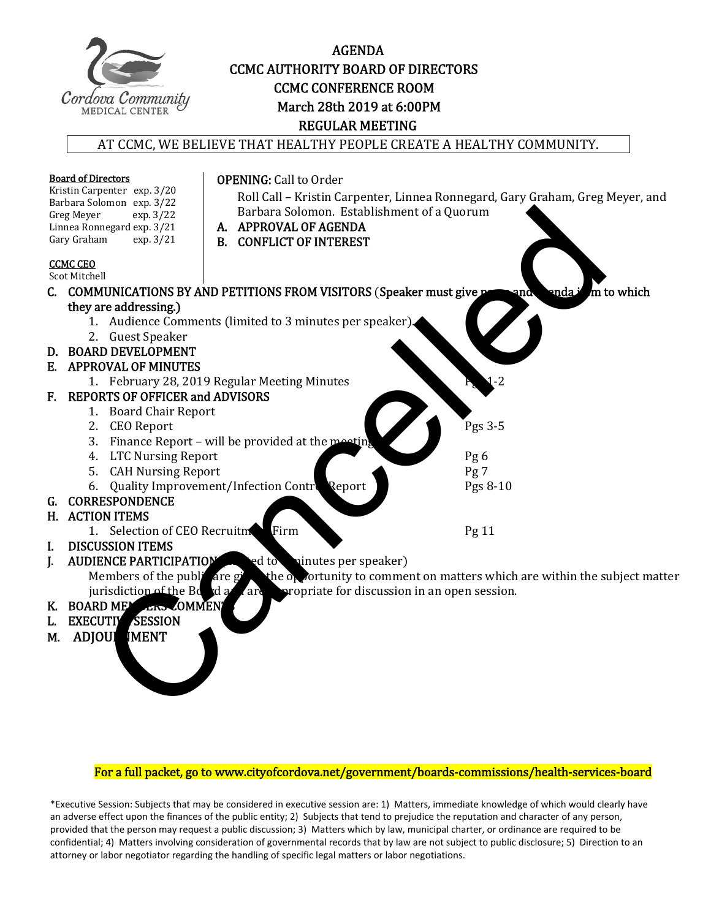

#### AGENDA CCMC AUTHORITY BOARD OF DIRECTORS **CCMC CONFERENCE ROOM**  March 28th 2019 at 6:00PM REGULAR MEETING

#### AT CCMC, WE BELIEVE THAT HEALTHY PEOPLE CREATE A HEALTHY COMMUNITY.



- EXECUTIV SESSION
- M. ADJOUR IMENT

#### For a full packet, go to www.cityofcordova.net/government/boards-commissions/health-services-board

\*Executive Session: Subjects that may be considered in executive session are: 1) Matters, immediate knowledge of which would clearly have an adverse effect upon the finances of the public entity; 2) Subjects that tend to prejudice the reputation and character of any person, provided that the person may request a public discussion; 3) Matters which by law, municipal charter, or ordinance are required to be confidential; 4) Matters involving consideration of governmental records that by law are not subject to public disclosure; 5) Direction to an attorney or labor negotiator regarding the handling of specific legal matters or labor negotiations.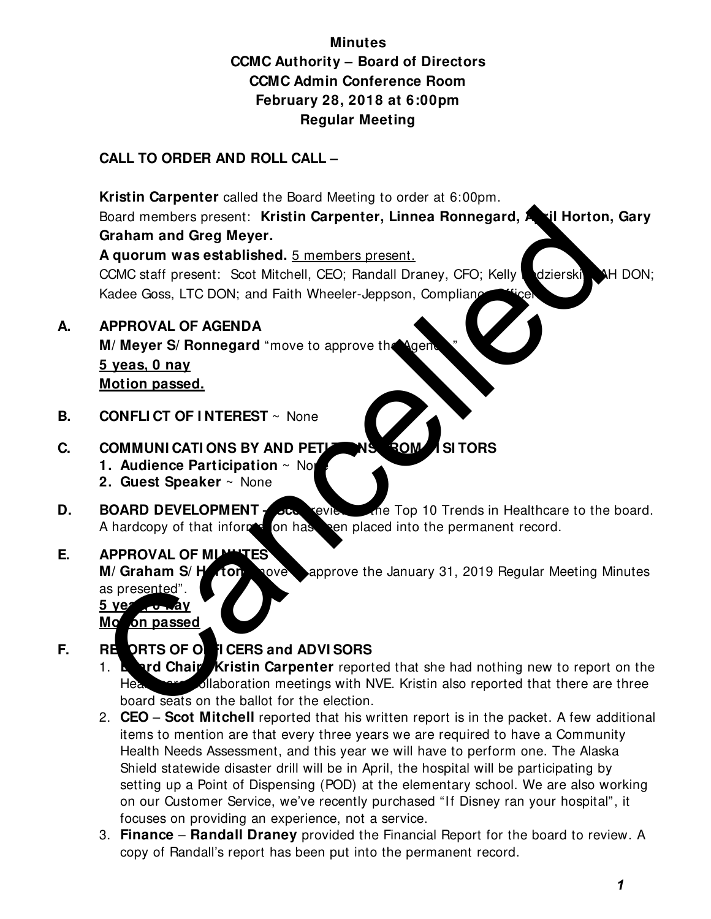## **Minutes CCMC Authority – Board of Directors CCMC Admin Conference Room February 28, 2018 at 6:00pm Regular Meeting**

## **CALL TO ORDER AND ROLL CALL –**

 **Kristin Carpenter** called the Board Meeting to order at 6:00pm. Board members present: Kristin Carpenter, Linnea Ronnegard, Antil Horton, Gary **Graham and Greg Meyer. A quorum was established.** 5 members present. CCMC staff present: Scot Mitchell, CEO; Randall Draney, CFO; Kelly Mazierski, CAH DON; Kadee Goss, LTC DON; and Faith Wheeler-Jeppson, Complianc Board members present: Kristin Carpenter, Linnea Ronnegard, All Horton<br>
Canam and Greg Meyer.<br>
CAUC staff present. Scot Mitchell, CEO; Randall Draney, CFO; Kelly<br>
CAUC staff present: Scot Mitchell, CEO; Randall Draney, CFO

- **A. APPROVAL OF AGENDA M/ Meyer S/ Ronnegard** "move to approve the Agen **5 yeas, 0 nay Motion passed.**
- **B. CONFLICT OF INTEREST** ~ None

## **C. COMMUNI CATI ONS BY AND PETITIONS ROM ISITORS**

- **1. Audience Participation**  $\sim$  No
- **2. Guest Speaker** ~ None
- **D. BOARD DEVELOPMENT scottage of the Top 10 Trends in Healthcare to the board.** A hardcopy of that informed on has been placed into the permanent record.

### **E. APPROVAL OF MINITES**

**M/ Graham S/ Horton** Nove approve the January 31, 2019 Regular Meeting Minutes as presented".

**5 yes voway Mo***bn* passed

## **F. REPORTS OF OFFI CERS and ADVI SORS**

- 1. **Board Chair–Kristin Carpenter** reported that she had nothing new to report on the Healthcare Collaboration meetings with NVE. Kristin also reported that there are three board seats on the ballot for the election.
- 2. **CEO Scot Mitchell** reported that his written report is in the packet. A few additional items to mention are that every three years we are required to have a Community Health Needs Assessment, and this year we will have to perform one. The Alaska Shield statewide disaster drill will be in April, the hospital will be participating by setting up a Point of Dispensing (POD) at the elementary school. We are also working on our Customer Service, we've recently purchased "If Disney ran your hospital", it focuses on providing an experience, not a service.
- 3. **Finance Randall Draney** provided the Financial Report for the board to review. A copy of Randall's report has been put into the permanent record.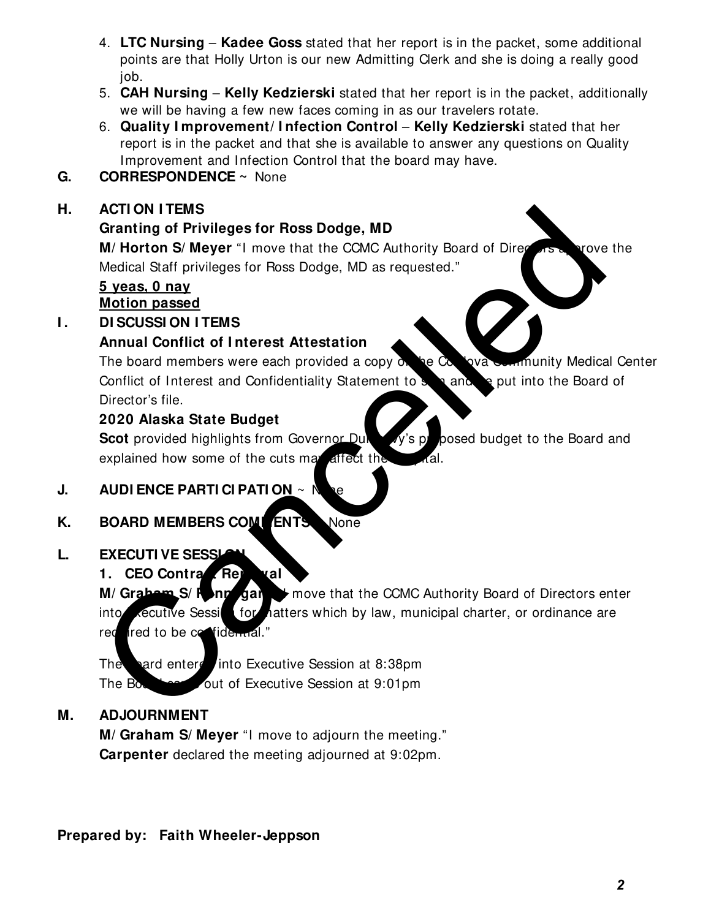- 4. **LTC Nursing Kadee Goss** stated that her report is in the packet, some additional points are that Holly Urton is our new Admitting Clerk and she is doing a really good job.
- 5. **CAH Nursing Kelly Kedzierski** stated that her report is in the packet, additionally we will be having a few new faces coming in as our travelers rotate.
- 6. **Quality I mprovement/ I nfection Control Kelly Kedzierski** stated that her report is in the packet and that she is available to answer any questions on Quality Improvement and Infection Control that the board may have.
- **G. CORRESPONDENCE ~** None

## **H. ACTI ON I TEMS**

## **Granting of Privileges for Ross Dodge, MD**

**M/ Horton S/ Meyer** "I move that the CCMC Authority Board of Directors a prove the Medical Staff privileges for Ross Dodge, MD as requested."

### **5 yeas, 0 nay Motion passed**

**I.** DI SCUSSION I TEMS

## **Annual Conflict of I nterest Attestation**

The board members were each provided a copy  $\delta$ , be  $\alpha$  lova Community Medical Center Conflict of Interest and Confidentiality Statement to sign and be put into the Board of Director's file.

## **2020 Alaska State Budget**

**Scot** provided highlights from Governor Duncavy's proposed budget to the Board and explained how some of the cuts may affect the

## **J. AUDI ENCE PARTI CI PATI ON ~ N**

## **K. BOARD MEMBERS COMMENTS** None

### **L. EXECUTI VE SESSL**

## **1. CEO Contract Renewal**

**M/ Graham S/ Ronnegard "** move that the CCMC Authority Board of Directors enter into **Executive Session for hatters which by law, municipal charter, or ordinance are** required to be confidential." Action ITEMS<br>
Caracting of Privileges for Ross Dodge, MD<br>
M/ Horton S/ Meyer "I move that the CCMC Authority Board of Direction<br>
Medical Staff privileges for Ross Dodge, MD as requested."<br>
Stream and Conflict of Interest A

The bard entered into Executive Session at 8:38pm The Board came out of Executive Session at 9:01pm

### **M. ADJOURNMENT**

**M/ Graham S/ Meyer** "I move to adjourn the meeting." **Carpenter** declared the meeting adjourned at 9:02pm.

### **Prepared by: Faith Wheeler-Jeppson**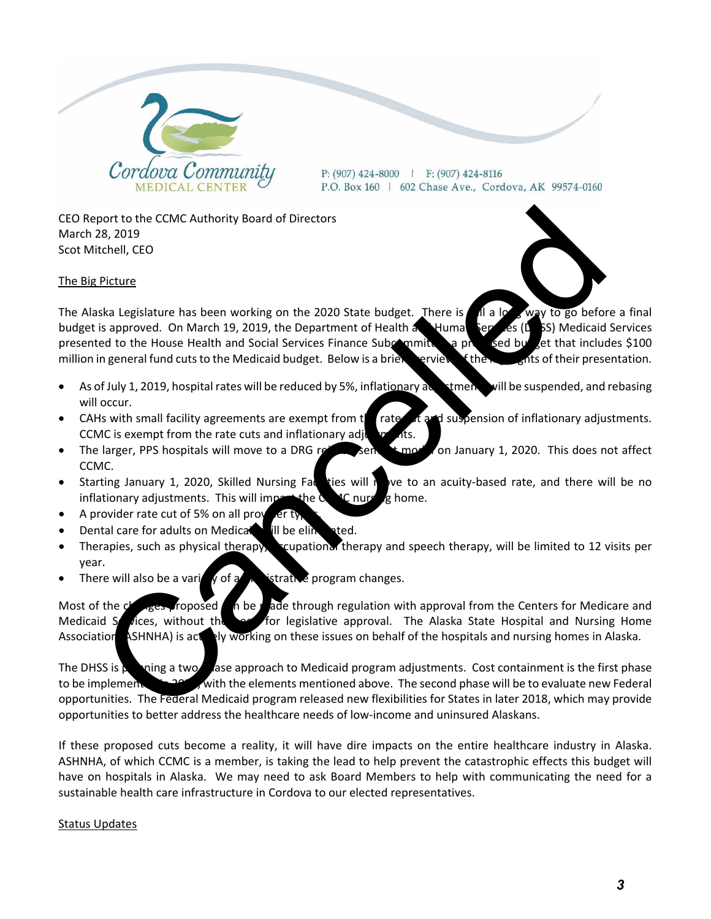

 $P: (907)$  424-8000 | F: (907) 424-8116 P.O. Box 160 | 602 Chase Ave., Cordova, AK 99574-0160

CEO Report to the CCMC Authority Board of Directors March 28, 2019 Scot Mitchell, CEO

The Big Picture



- As of July 1, 2019, hospital rates will be reduced by 5%, inflationary adjustment will be suspended, and rebasing will occur.
- CAHs with small facility agreements are exempt from the rate of and suspension of inflationary adjustments. CCMC is exempt from the rate cuts and inflationary adjustments.
- The larger, PPS hospitals will move to a DRG reimbursement model on January 1, 2020. This does not affect CCMC.
- Starting January 1, 2020, Skilled Nursing Faction will move to an acuity-based rate, and there will be no inflationary adjustments. This will impact the  $\alpha$   $\alpha$  nursing home.
- A provider rate cut of 5% on all provider
- Dental care for adults on Medicaid ill be eliminated.
- Therapies, such as physical therapy, scupational therapy and speech therapy, will be limited to 12 visits per year.
- There will also be a variety of a discretive program changes.

Most of the changes proposed can be made through regulation with approval from the Centers for Medicare and Medicaid Services, without the need for legislative approval. The Alaska State Hospital and Nursing Home Association (ASHNHA) is activaly working on these issues on behalf of the hospitals and nursing homes in Alaska.

The DHSS is planning a two phase approach to Medicaid program adjustments. Cost containment is the first phase to be implement to 2020, with the elements mentioned above. The second phase will be to evaluate new Federal opportunities. The Federal Medicaid program released new flexibilities for States in later 2018, which may provide opportunities to better address the healthcare needs of low‐income and uninsured Alaskans.

If these proposed cuts become a reality, it will have dire impacts on the entire healthcare industry in Alaska. ASHNHA, of which CCMC is a member, is taking the lead to help prevent the catastrophic effects this budget will have on hospitals in Alaska. We may need to ask Board Members to help with communicating the need for a sustainable health care infrastructure in Cordova to our elected representatives.

#### Status Updates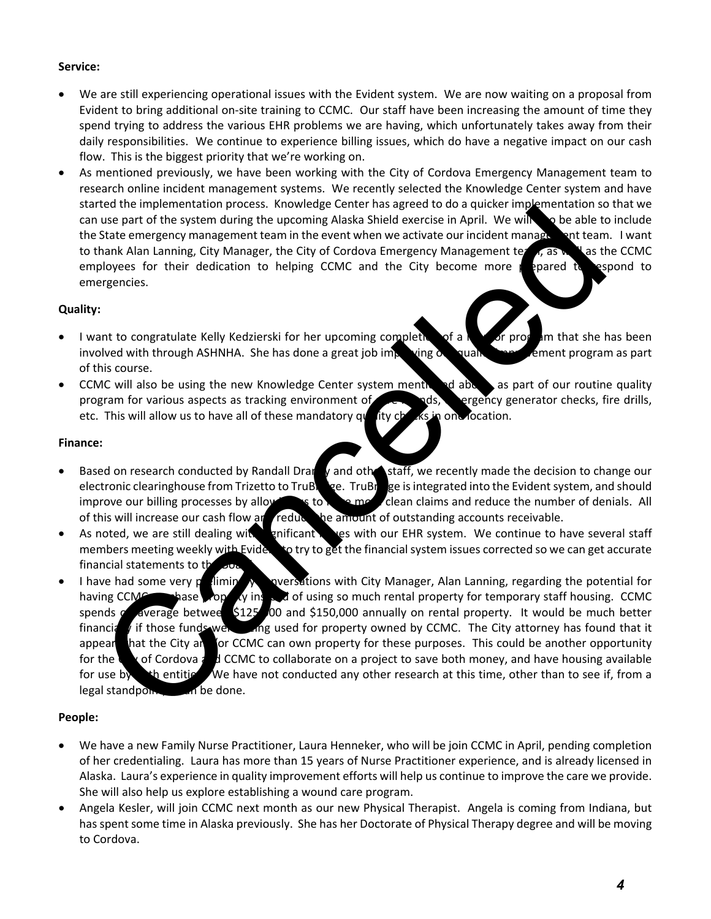#### **Service:**

- We are still experiencing operational issues with the Evident system. We are now waiting on a proposal from Evident to bring additional on‐site training to CCMC. Our staff have been increasing the amount of time they spend trying to address the various EHR problems we are having, which unfortunately takes away from their daily responsibilities. We continue to experience billing issues, which do have a negative impact on our cash flow. This is the biggest priority that we're working on.
- As mentioned previously, we have been working with the City of Cordova Emergency Management team to research online incident management systems. We recently selected the Knowledge Center system and have started the implementation process. Knowledge Center has agreed to do a quicker implementation so that we can use part of the system during the upcoming Alaska Shield exercise in April. We will also be able to include the State emergency management team in the event when we activate our incident management team. I want to thank Alan Lanning, City Manager, the City of Cordova Emergency Management team, as well as the CCMC employees for their dedication to helping CCMC and the City become more prepared to respond to emergencies.

#### **Quality:**

- I want to congratulate Kelly Kedzierski for her upcoming completion of a  $\frac{1}{N}$  of program that she has been involved with through ASHNHA. She has done a great job improving  $\alpha$  quality improvement program as part of this course.
- CCMC will also be using the new Knowledge Center system mentioned above, as part of our routine quality program for various aspects as tracking environment of care rounds, ergency generator checks, fire drills, etc. This will allow us to have all of these mandatory  $q\mathbf{u}$  ity checks in one location.

#### **Finance:**

- Based on research conducted by Randall Draney and other staff, we recently made the decision to change our electronic clearinghouse from Trizetto to TruBridge. TruBridge is integrated into the Evident system, and should improve our billing processes by allowing to have more clean claims and reduce the number of denials. All of this will increase our cash flow and reduce the amount of outstanding accounts receivable.
- As noted, we are still dealing with significant is used with our EHR system. We continue to have several staff members meeting weekly with Evident to try to get the financial system issues corrected so we can get accurate financial statements to the
- I have had some very preliming  $\lambda$  conversations with City Manager, Alan Lanning, regarding the potential for having CCMC purchase property instead of using so much rental property for temporary staff housing. CCMC spends  $\alpha$  average betwee \$125,000 and \$150,000 annually on rental property. It would be much better financially if those funds were long used for property owned by CCMC. The City attorney has found that it appear hat the City and for CCMC can own property for these purposes. This could be another opportunity for the City of Cordova  $\frac{1}{6}$  d CCMC to collaborate on a project to save both money, and have housing available for use by the entities. We have not conducted any other research at this time, other than to see if, from a  $\log$ al standpoint, and be done. the thingeneometrical torus appear that the transfer and diverse in April. We will be a state of the system property mangement the system conducted and the care of the system property mangement the system independent than

#### **People:**

- We have a new Family Nurse Practitioner, Laura Henneker, who will be join CCMC in April, pending completion of her credentialing. Laura has more than 15 years of Nurse Practitioner experience, and is already licensed in Alaska. Laura's experience in quality improvement efforts will help us continue to improve the care we provide. She will also help us explore establishing a wound care program.
- Angela Kesler, will join CCMC next month as our new Physical Therapist. Angela is coming from Indiana, but has spent some time in Alaska previously. She has her Doctorate of Physical Therapy degree and will be moving to Cordova.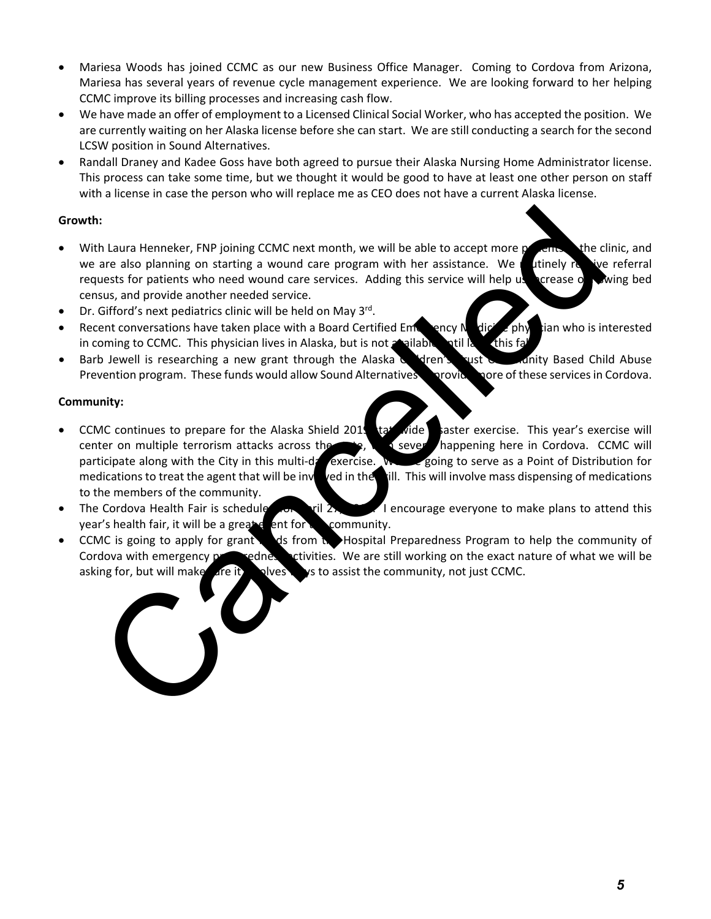- Mariesa Woods has joined CCMC as our new Business Office Manager. Coming to Cordova from Arizona, Mariesa has several years of revenue cycle management experience. We are looking forward to her helping CCMC improve its billing processes and increasing cash flow.
- We have made an offer of employment to a Licensed Clinical Social Worker, who has accepted the position. We are currently waiting on her Alaska license before she can start. We are still conducting a search for the second LCSW position in Sound Alternatives.
- Randall Draney and Kadee Goss have both agreed to pursue their Alaska Nursing Home Administrator license. This process can take some time, but we thought it would be good to have at least one other person on staff with a license in case the person who will replace me as CEO does not have a current Alaska license.

#### **Growth:**

- With Laura Henneker, FNP joining CCMC next month, we will be able to accept more patients. The clinic, and we are also planning on starting a wound care program with her assistance. We uninely receive referral requests for patients who need wound care services. Adding this service will help us crease our wing bed census, and provide another needed service.
- Dr. Gifford's next pediatrics clinic will be held on May 3<sup>rd</sup>.
- Recent conversations have taken place with a Board Certified Emergency Medicine physician who is interested in coming to CCMC. This physician lives in Alaska, but is not available valid by this fall.
- Barb Jewell is researching a new grant through the Alaska Children's Trust Community Based Child Abuse Prevention program. These funds would allow Sound Alternatives movide more of these services in Cordova.

#### **Community:**

- CCMC continues to prepare for the Alaska Shield 2019 tat wide saster exercise. This year's exercise will center on multiple terrorism attacks across the state, with several happening here in Cordova. CCMC will participate along with the City in this multi-day exercise. We are going to serve as a Point of Distribution for medications to treat the agent that will be involved in the dill. This will involve mass dispensing of medications to the members of the community. It alian Henneker, FNP joining CGMC next month, we will be able to accept more a like the read so planning on striting a wound care program with her assistance. We intimate the read is planning to control and provide anoth
- The Cordova Health Fair is schedule from April 27, 2019. I encourage everyone to make plans to attend this year's health fair, it will be a greate ent for **the community**.
- CCMC is going to apply for grant to disfrom the Hospital Preparedness Program to help the community of Cordova with emergency preparedness activities. We are still working on the exact nature of what we will be asking for, but will make  $\Delta r$  it is involved. We denote the community, not just CCMC.

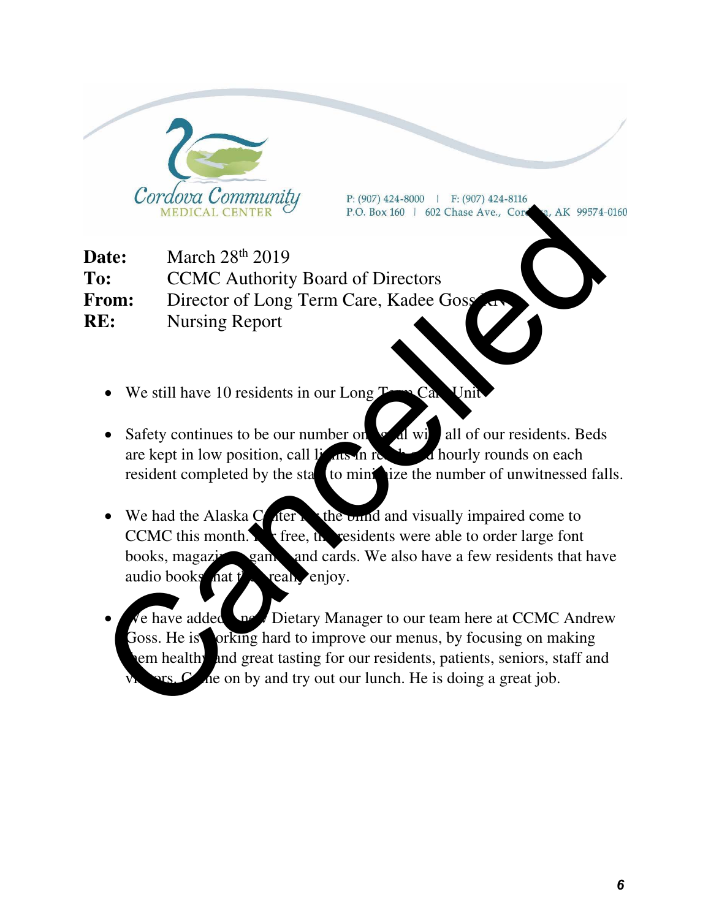

P: (907) 424-8000 | F: (907) 424-8116

**Date:** March 28<sup>th</sup> 2019 **To:** CCMC Authority Board of Directors **From:** Director of Long Term Care, Kadee Goss **RE:** Nursing Report

- $\bullet$  We still have 10 residents in our Long  $T_{\bullet}$  Care Unit
- Safety continues to be our number on  $\alpha$  all with all of our residents. Beds are kept in low position, call lights in reach and hourly rounds on each resident completed by the state to minimize the number of unwitnessed falls.
- $\bullet$  We had the Alaska C<sub>enter</sub> for the build and visually impaired come to CCMC this month. For free, the residents were able to order large font books, magazines, games and cards. We also have a few residents that have audio books nat  $t^{\prime}$  really enjoy.
- e have added a new Dietary Manager to our team here at CCMC Andrew Goss. He is orking hard to improve our menus, by focusing on making em healthy and great tasting for our residents, patients, seniors, staff and  $\sim$   $\alpha$  he on by and try out our lunch. He is doing a great job. MEDICAL CENTER <sup>27</sup> P.O. Box 160 1 602 Chase Ave., Core and MEDICAL CENTER <sup>27</sup> P.O. Box 160 1 602 Chase Ave., Core and Archives and CCMC Authority Board of Directors<br> **CALC Authority Board of Directors**<br> **CALC Authority B**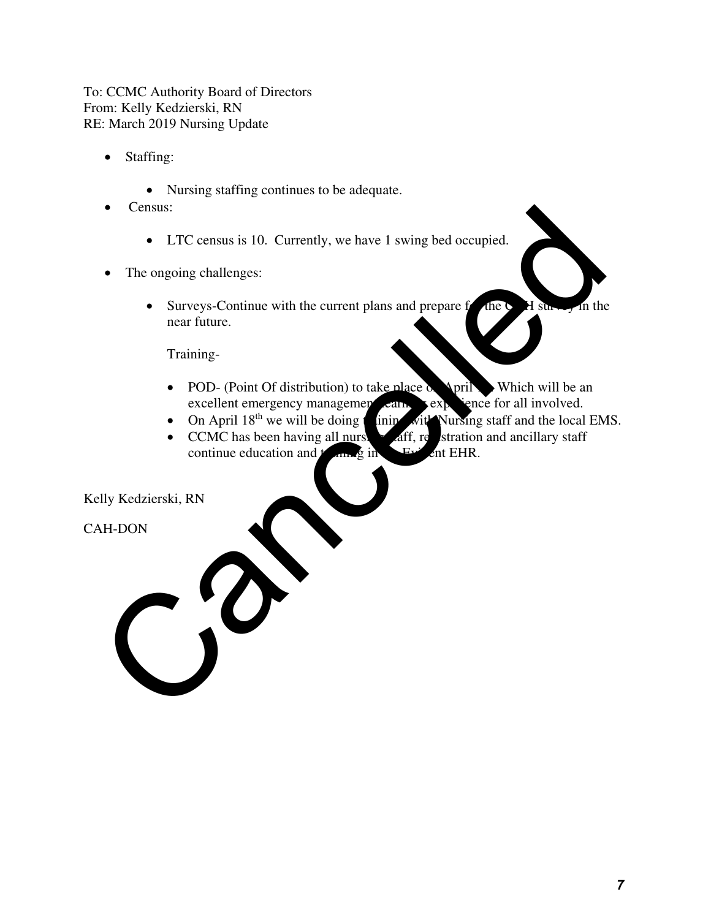To: CCMC Authority Board of Directors From: Kelly Kedzierski, RN RE: March 2019 Nursing Update

- Staffing:
	- Nursing staffing continues to be adequate.
- Census:
	- LTC census is 10. Currently, we have 1 swing bed occupied.
- The ongoing challenges:
- Surveys-Continue with the current plans and prepare for the CAH survey in the near future. Census:<br>
Census:<br>
CENC census is 10. Currently, we have 1 swing bed occupied.<br>
The ongoing challenges:<br>
Surveys-Continue with the current plans and prepare for all shall in the next fitting.<br>
Training-<br>
CPOD- (Point Of dis

Training-

- POD- (Point Of distribution) to take place on April 12. Which will be an excellent emergency management earn, expression all involved. excellent emergency management can.<br>• On April  $18<sup>th</sup>$  we will be doing the initial
- ining with Nursing staff and the local EMS.
- CCMC has been having all nurse aff, registration and ancillary staff continue education and  $t_{\text{max}}$  in continue education and  $t_{\text{max}}$  in

Kelly Kedzierski, RN

CAH-DON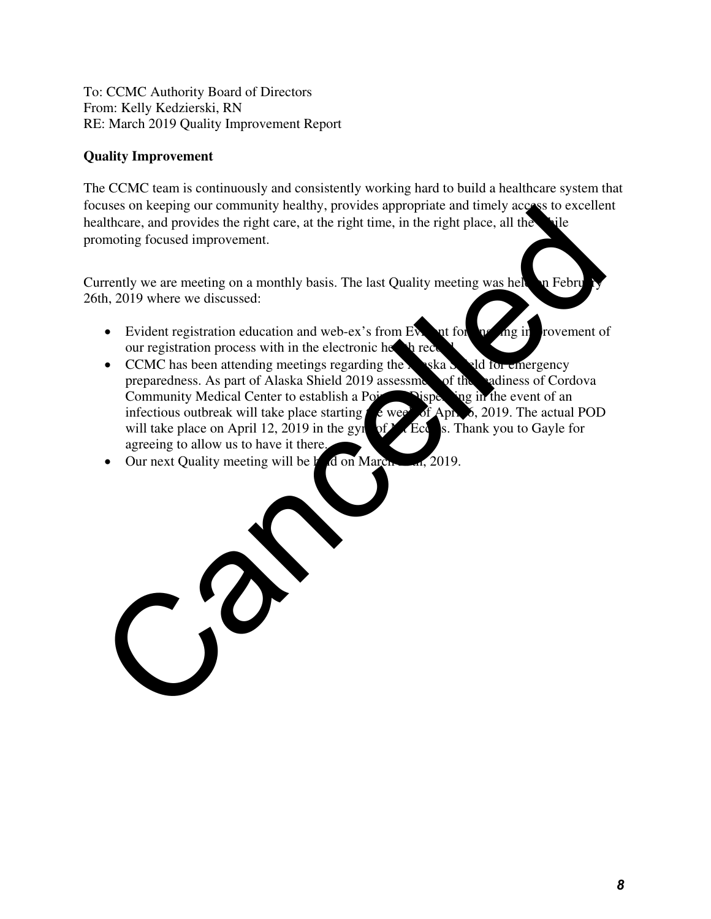To: CCMC Authority Board of Directors From: Kelly Kedzierski, RN RE: March 2019 Quality Improvement Report

#### **Quality Improvement**

The CCMC team is continuously and consistently working hard to build a healthcare system that focuses on keeping our community healthy, provides appropriate and timely access to excellent healthcare, and provides the right care, at the right time, in the right place, all the promoting focused improvement.

Currently we are meeting on a monthly basis. The last Quality meeting was held on February 26th, 2019 where we discussed:

- Evident registration education and web-ex's from Evident for  $\eta$  and  $\eta$  in rovement of our registration process with in the electronic health record.
- CCMC has been attending meetings regarding the  $\lambda$  ska  $\lambda$  and for emergency preparedness. As part of Alaska Shield 2019 assessment of the readiness of Cordova<br>Community Medical Center to establish a Point Pisper in the event of an Community Medical Center to establish a Point Oispen infectious outbreak will take place starting  $\frac{1}{2}$  week of April 6, 2019. The actual POD will take place on April 12, 2019 in the gyn of  $\overline{M}$ . Eccles. Thank you to Gayle for agreeing to allow us to have it there. Substitution and the place of the state of the state of the state of the state of the state of the state of the state of the state of the state of the state of the state of the state of the state of the state of the state
- $\bullet$  Our next Quality meeting will be held on March  $\frac{1}{2019}$ .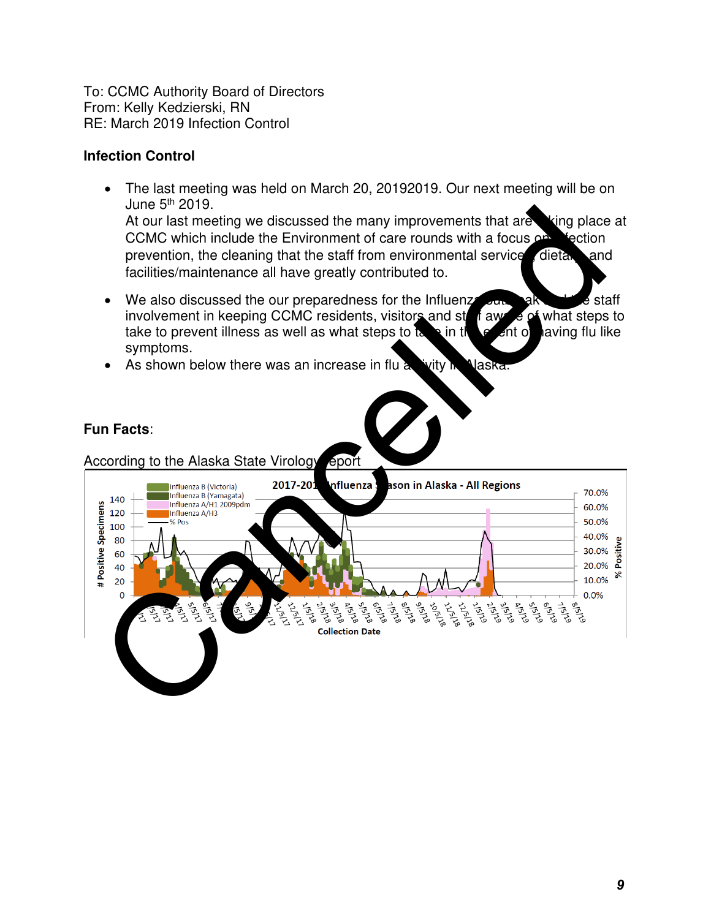To: CCMC Authority Board of Directors From: Kelly Kedzierski, RN RE: March 2019 Infection Control

#### **Infection Control**

- The last meeting was held on March 20, 20192019. Our next meeting will be on June 5th 2019. At our last meeting we discussed the many improvements that are taking place at CCMC which include the Environment of care rounds with a focus  $\Omega$  intertion prevention, the cleaning that the staff from environmental service dietary and facilities/maintenance all have greatly contributed to.
- $\bullet$  We also discussed the our preparedness for the Influenza out and the staff involvement in keeping CCMC residents, visitors and state with a steps to take to prevent illness as well as what steps to take in the event of laving flu like symptoms.
- As shown below there was an increase in flu activity in Naska.

#### **Fun Facts**:

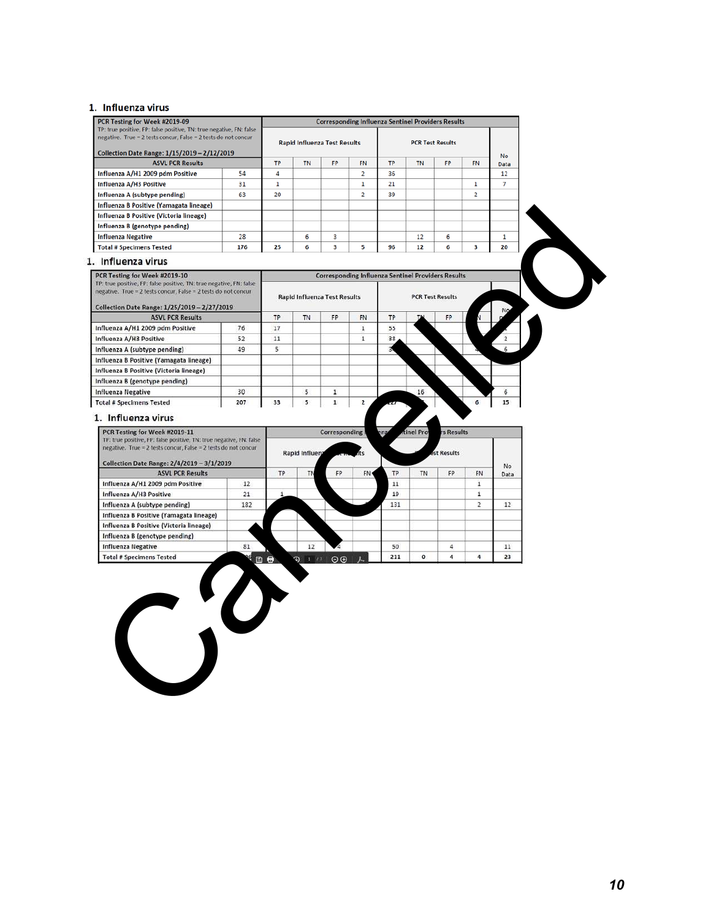#### 1. Influenza virus

| TP: true positive, FP: false positive, TN: true negative, FN: false<br>negative. True = 2 tests concur, False = 2 tests do not concur<br>Collection Date Range: 1/15/2019 - 2/12/2019<br><b>ASVL PCR Results</b>                |     |              |                                     |                      |                | <b>Corresponding Influenza Sentinel Providers Results</b> |                         |                  |                |                |
|---------------------------------------------------------------------------------------------------------------------------------------------------------------------------------------------------------------------------------|-----|--------------|-------------------------------------|----------------------|----------------|-----------------------------------------------------------|-------------------------|------------------|----------------|----------------|
|                                                                                                                                                                                                                                 |     |              |                                     |                      |                |                                                           |                         |                  |                |                |
|                                                                                                                                                                                                                                 |     |              | <b>Rapid Influenza Test Results</b> |                      |                |                                                           | <b>PCR Test Results</b> |                  |                |                |
|                                                                                                                                                                                                                                 |     |              |                                     |                      |                |                                                           |                         |                  |                | No             |
|                                                                                                                                                                                                                                 |     | TP           | <b>TN</b>                           | <b>FP</b>            | <b>FN</b>      | <b>TP</b>                                                 | <b>TN</b>               | FP               | <b>FN</b>      | Data           |
| Influenza A/H1 2009 pdm Positive                                                                                                                                                                                                | 54  | 4            |                                     |                      | 2              | 36                                                        |                         |                  |                | 12             |
| Influenza A/H3 Positive                                                                                                                                                                                                         | 31  | $\mathbf{1}$ |                                     |                      | 1              | 21                                                        |                         |                  | $\mathbf{1}$   | $\overline{7}$ |
| Influenza A (subtype pending)                                                                                                                                                                                                   | 63  | 20           |                                     |                      | $\overline{2}$ | 39                                                        |                         |                  | $\overline{2}$ |                |
| Influenza B Positive (Yamagata lineage)                                                                                                                                                                                         |     |              |                                     |                      |                |                                                           |                         |                  |                |                |
| Influenza B Positive (Victoria lineage)                                                                                                                                                                                         |     |              |                                     |                      |                |                                                           |                         |                  |                |                |
| Influenza B (genotype pending)                                                                                                                                                                                                  |     |              |                                     |                      |                |                                                           |                         |                  |                |                |
| <b>Influenza Negative</b>                                                                                                                                                                                                       | 28  |              | 6                                   | 3                    |                |                                                           | 12                      | 6                |                | $\mathbf{1}$   |
| <b>Total # Specimens Tested</b>                                                                                                                                                                                                 | 176 | 25           | 6                                   | 3                    | 5              | 96                                                        | 12                      | 6                | 3              | 20             |
|                                                                                                                                                                                                                                 |     |              |                                     |                      |                |                                                           |                         |                  |                |                |
| 1. Influenza virus                                                                                                                                                                                                              |     |              |                                     |                      |                |                                                           |                         |                  |                |                |
| PCR Testing for Week #2019-10                                                                                                                                                                                                   |     |              |                                     |                      |                | <b>Corresponding Influenza Sentinel Providers Results</b> |                         |                  |                |                |
| TP: true positive, FP: false positive, TN: true negative, FN: false<br>negative. True = 2 tests concur, False = 2 tests do not concur                                                                                           |     |              |                                     |                      |                |                                                           |                         |                  |                |                |
|                                                                                                                                                                                                                                 |     |              | <b>Rapid Influenza Test Results</b> |                      |                |                                                           | <b>PCR Test Results</b> |                  |                |                |
| Collection Date Range: 1/25/2019 - 2/27/2019                                                                                                                                                                                    |     |              |                                     |                      |                |                                                           |                         |                  |                | No.            |
| <b>ASVL PCR Results</b>                                                                                                                                                                                                         |     | TP           | <b>TN</b>                           | FP                   | FN.            | TP                                                        |                         | FP               |                |                |
| Influenza A/H1 2009 pdm Positive                                                                                                                                                                                                | 76  | 17           |                                     |                      | $\mathbf 1$    | 55                                                        |                         |                  |                |                |
| Influenza A/H3 Positive                                                                                                                                                                                                         | 52  | 11           |                                     |                      | $\mathbf{1}$   | 38                                                        |                         |                  |                |                |
| Influenza A (subtype pending)                                                                                                                                                                                                   | 49  | 5            |                                     |                      |                |                                                           |                         |                  |                |                |
| Influenza B Positive (Yamagata lineage)                                                                                                                                                                                         |     |              |                                     |                      |                |                                                           |                         |                  |                |                |
| Influenza B Positive (Victoria lineage)                                                                                                                                                                                         |     |              |                                     |                      |                |                                                           |                         |                  |                |                |
| Influenza B (genotype pending)                                                                                                                                                                                                  |     |              |                                     |                      |                |                                                           |                         |                  |                |                |
| <b>Influenza Negative</b>                                                                                                                                                                                                       | 30  |              | 5                                   | $\mathbf 1$          |                |                                                           | 16                      |                  |                | 6              |
|                                                                                                                                                                                                                                 |     | 33           | 5                                   | $1\,$                | $\overline{2}$ |                                                           |                         |                  | 6.             | 15             |
|                                                                                                                                                                                                                                 | 207 |              |                                     |                      |                |                                                           |                         |                  |                |                |
| <b>Total # Specimens Tested</b><br>1. Influenza virus<br>PCR Testing for Week #2019-11<br>TP: true positive, FP: false positive, TN: true negative, FN: false<br>negative. True = 2 tests concur, False = 2 tests do not concur |     |              |                                     | <b>Corresponding</b> |                | nza                                                       | tinel Pro               | <b>S</b> Results |                |                |
|                                                                                                                                                                                                                                 |     |              | Rapid Influen;                      |                      |                |                                                           |                         | st Results       |                |                |
| Collection Date Range: 2/4/2019 - 3/1/2019                                                                                                                                                                                      |     | TP           |                                     | FP                   |                | TP                                                        | TN                      | FP               | FN             | No             |
| <b>ASVL PCR Results</b>                                                                                                                                                                                                         | 12  |              | TN                                  |                      | FN             |                                                           |                         |                  |                | Data           |
| Influenza A/H1 2009 pdm Positive                                                                                                                                                                                                |     | 1            |                                     |                      |                | $11\,$<br>19                                              |                         |                  | $\mathbf 1$    |                |
| Influenza A/H3 Positive                                                                                                                                                                                                         | 21  |              |                                     |                      |                |                                                           |                         |                  | $\,$           |                |
| Influenza A (subtype pending)                                                                                                                                                                                                   | 182 |              |                                     |                      |                | 131                                                       |                         |                  | $\overline{2}$ | 12             |
| Influenza B Positive (Yamagata lineage)                                                                                                                                                                                         |     |              |                                     |                      |                |                                                           |                         |                  |                |                |
| Influenza B Positive (Victoria lineage)                                                                                                                                                                                         |     |              |                                     |                      |                |                                                           |                         |                  |                |                |
| Influenza B (genotype pending)<br><b>Influenza Negative</b>                                                                                                                                                                     | 81  |              | 12                                  |                      |                | 50                                                        |                         | 4                |                | 11             |